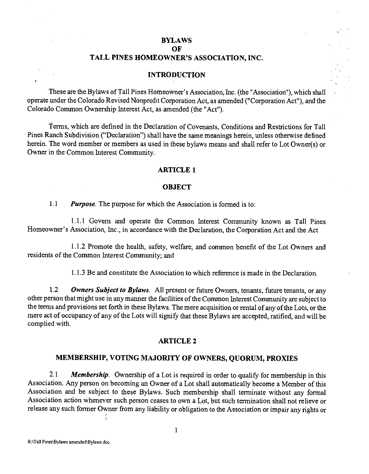## • BYLAWS

OF

## TALL PINES HOMEOWNER'S ASSOCIATION, INC.

### **INTRODUCTION**

These are the Bylaws of Tall Pines Homeowner's Association, Inc. (the "Association"), which shall operate under the Colorado Revised Nonprofit Corporation Act, as amended ("Corporation Act"), and the Colorado Common Ownership Interest Act, as amended (the "Act").

terms, which are defined in the Declaration of Covenants, Conditions and Restrictions for Tall Pines Ranch Subdivision ("Declaration") shall have the same meanings herein, unless otherwise defined herein. The word member or members as used in these bylaws means and shall refer to Lot Owner(s) or Owner in the Common Interest Community.

#### ARTICLE 1

#### **OBJECT**

1.1 Purpose. The purpose for which the Association is formed is to:

1.1.1 Govern and operate the Common Interest Community known as Tall Pines Homeowner's Association, Inc., in accordance with the Declaration, the Corporation Act and the Act

1.1.2 Promote the health, safety, welfare, and common benefit of the Lot Owners and residents of the Common Interest Community; and

1.1.3 Be and constitute the Association to which reference is made in the Declaration.

1.2 Owners Subject to Bylaws. All present or future Owners, tenants, future tenants, or any other person that might use in any manner the facilities of the Common Interest Community are subject to the terms and provisions set forth in these Bylaws. The mere acquisition or rental of any of the Lots, or the mere act of occupancy of any of the Lots will signify that these Bylaws are accepted, ratified, and will be complied with.

#### ARTICLE 2

# MEMBERSHIP, VOTING MAJORITY OF OWNERS, QUORUM, PROXIES

2.1 Membership. Ownership of a Lot is required in order to qualify for membership in this Association. Any person on becoming an Owner of a Lot shall automatically become a Member of this Association and be subject to these Bylaws. Such membership shall terminate without any formal Association action whenever such person ceases to own a Lot, but such termination shall not relieve or release any such former Owner from any liability or obligation to the Association or impair any rights or

å.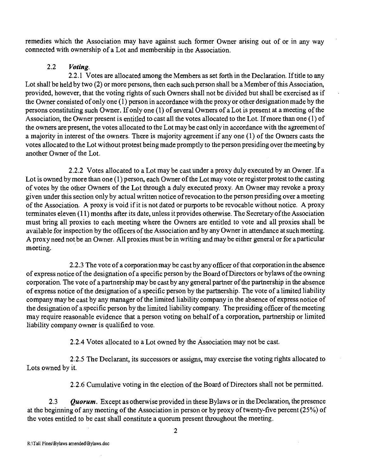remedies which the Association may have against such former Owner arising out of or in any way connected with ownership of a Lot and membership in the Association.

# 2.2 Voting.

2.2.1 Votes are allocated among the Members as set forth in the Declaration. If title to any Lot shall be held by two (2) or more persons, then each such person shall be a Member of this Association, provided, however, that the voting rights of such Owners shall not be divided but shall be exercised as if the Owner consisted of only one (1) person in accordance with the proxy or other designation made by the persons constituting such Owner. If only one (1) of several Owners of a Lot is present at a meeting of the Association, the Owner present is entitled to cast all the votes allocated to the Lot. If more than one (1) of the owners are present, the votes allocated to the Lot may be cast only in accordance with the agreement of a majority in interest of the owners. There is majority agreement if any one (1) of the Owners casts the votes allocated to the Lot without protest being made promptly to the person presiding over the meeting by another Owner of the Lot.

2.2.2 Votes allocated to a Lot may be cast under a proxy duly executed by an Owner. If a Lot is owned by more than one (1) person, each Owner of the Lot may vote or register protest to the casting of votes by the other Owners of the Lot through a duly executed proxy. An Owner may revoke a proxy given under this section only by actual written notice of revocation to the person presiding over a meeting of the Association. A proxy is void if it is not dated or purports to be revocable without notice. A proxy terminates eleven (11) months after its date, unless it provides otherwise. The Secretary of the Association must bring all proxies to each meeting where the Owners are entitled to vote and all proxies shall be available for inspection by the officers of the Association and by any Owner in attendance at such meeting. A proxy need not be an Owner. All proxies must be in writing and may be either general or for a particular meeting.

2.2.3 The vote of a corporation may be cast by any officer of that corporation in the absence of express notice of the designation of a specific person by the Board of Directors or bylaws of the owning corporation. The vote of a partnership may be cast by any general partner of the partnership in the absence of express notice of the designation of a specific person by the partnership. The vote of a limited liability company may be cast by any manager of the limited liability company in the absence of express notice of the designation of a specific person by the limited liability company. The presiding officer of the meeting may require reasonable evidence that a person voting on behalf of a corporation, partnership or limited liability company owner is qualified to vote.

2.2.4 Votes allocated to a Lot owned by the Association may not be cast.

2.2.5 The Declarant, its successors or assigns, may exercise the voting rights allocated to Lots owned by it.

2.2.6 Cumulative voting in the election of the Board of Directors shall not be permitted.

2.3  $Quorum. Except as otherwise provided in these By laws or in the Declaration, the presence$ at the beginning of any meeting of the Association in person or byproxy of twenty-five percent (25%) of the votes entitled to be cast shall constitute a quorum present throughout the meeting.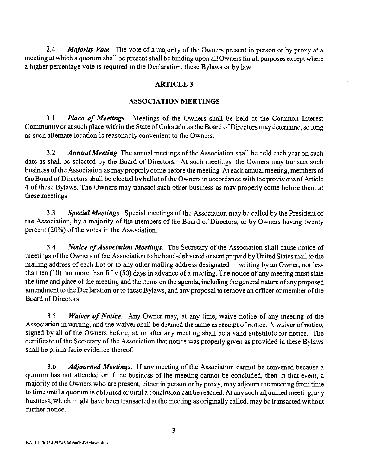2.4 Majority Vote. The vote of a majority of the Owners present in person or by proxy at a meeting at which a quorum shall be present shall be binding upon all Owners for all purposes except where a higher percentage vote is required in the Declaration, these Bylaws or by law.

#### ARTICLE 3

#### ASSOCIATION MEETINGS

3.1 Place of Meetings. Meetings of the Owners shall be held at the Common Interest Community or at such place within the State of Colorado as the Board of Directors may determine, so long as such alternate location is reasonably convenient to the Owners.

3.2 Annual Meeting. The annual meetings of the Association shall be held each year on such date as shall be selected by the Board of Directors. At such meetings, the Owners may transact such business of the Association as may properly come before the meeting. At each annual meeting, members of the Board of Directors shall be elected by ballot of the Owners in accordance with the provisions of Article 4 of these Bylaws. The Owners may transact such other business as may properly come before them at these meetings.

3.3 Special Meetings. Special meetings of the Association may be called by the President of the Association, by a majority of the members of the Board of Directors, or by Owners having twenty percent (20%) of the votes in the Association.

3.4 Notice of Association Meetings. The Secretary of the Association shall cause notice of meetings of the Owners of the Association to be hand-delivered or sent prepaid byUnited States mail to the mailing address of each Lot or to any other mailing address designated in writing by an Owner, not less than ten (10) nor more than fifty (50) days in advance of a meeting. The notice of any meeting must state the time and place of the meeting and the items on the agenda, including the general nature of any proposed amendment to the Declaration or to these Bylaws, and any proposal to remove an officer or member of the Board of Directors.

3.5 *Waiver of Notice*. Any Owner may, at any time, waive notice of any meeting of the Association in writing, and the waiver shall be deemed the same as receipt of notice. A waiver of notice, signed by all of the Owners before, at, or after any meeting shall be a valid substitute for notice. The certificate of the Secretary of the Association that notice was properly given as provided in these Bylaws shall be prima facie evidence thereof

3.6 Adjourned Meetings. If any meeting of the Association cannot be convened because a quorum has not attended or if the business of the meeting cannot be concluded, then in that event, a majority of the Owners who are present, either in person or by proxy, may adjourn the meeting from time to time until a quorum is obtained or until a conclusion can be reached. At any such adjourned meeting, any business, which might have been transacted at the meeting as originally called, may be transacted without further notice.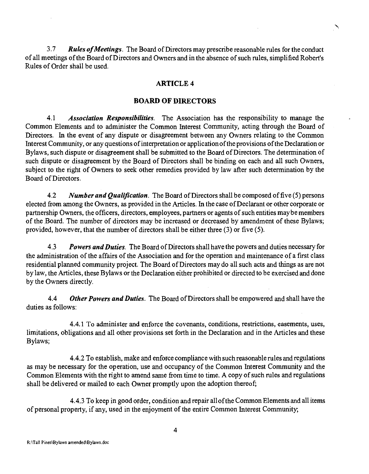3.7 Rules of Meetings. The Board of Directors may prescribe reasonable rules for the conduct of all meetings of the Board of Directors and Owners and in the absence of such rules, simplified Robert's Rules of Order shall be used.

### ARTICLE 4

#### BOARD OF DIRECTORS

4.1 Association Responsibilities. The Association has the responsibility to manage the Common Elements and to administer the Common Interest Community, acting through the Board of Directors. In the event of any dispute or disagreement between any Owners relating to the Common Interest Community, or any questions of interpretation or application of the provisions of the Declaration or Bylaws, such dispute or disagreement shall be submitted to the Board of Directors. The determination of such dispute or disagreement by the Board of Directors shall be binding on each and all such Owners, subject to the right of Owners to seek other remedies provided by law after such determination by the Board of Directors,

4.2 Number and Qualification. The Board of Directors shall be composed of five (5) persons elected from among the Owners, as provided in the Articles. In the case of Declarant or other corporate or partnership Owners, the officers, directors, employees, partners or agents of such entities maybe members of the Board. The number of directors may be increased or decreased by amendment of these Bylaws; provided, however, that the number of directors shall be either three (3) or five (5).

4.3 Powers and Duties. The Board of Directors shall have the powers and duties necessary for the administration of the affairs of the Association and for the operation and maintenance of a first class residential planned community project. The Board of Directors may do all such acts and things as are not bylaw, the Articles, these Bylaws or the Declaration either prohibited or directed to be exercised and done by the Owners directly.

4.4 Other Powers and Duties. The Board of Directors shall be empowered and shall have the duties as follows:

4.4.1 To administer and enforce the covenants, conditions, restrictions, easements, uses, limitations, obligations and all other provisions set forth in the Declaration and in the Articles and these Bylaws;

4.4.2 To establish, make and enforce compliance with such reasonable rules and regulations as may be necessary for the operation, use and occupancy of the Common Interest Community and the Common Elements with the right to amend same from time to time. A copy of such rules and regulations shall be delivered or mailed to each Owner promptly upon the adoption thereof;

4.4.3 To keep in good order, condition and repair all of the Common Elements and all items of personal property, if any, used in the enjoyment of the entire Common Interest Community;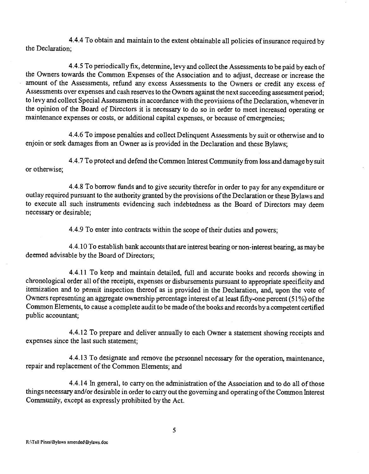4.4.4 To obtain and maintain to the extent obtainable all policies of insurance required by the Declaration;

4.4.5 To periodically fix, determine, levy and collect the Assessments to be paid by each of the Owners towards the Common Expenses of the Association and to adjust, decrease or increase the amount of the Assessments, refund any excess Assessments to the Owners or credit any excess of Assessments over expenses and cash reserves to the Owners against the next succeeding assessment period; to levy and collect Special Assessments in accordance with the provisions of the Declaration, whenever in the opinion of the Board of Directors it is necessary to do so in order to meet increased operating or maintenance expenses or costs, or additional capital expenses, or because of emergencies;

4.4.6 To impose penalties and collect Delinquent Assessments by suit or otherwise and to enjoin or seek damages from an Owner as is provided in the Declaration and these Bylaws;

4.4.7 To protect and defend the Common Interest Community from loss and damage by suit or otherwise;

4.4.8 To borrow funds and to give security therefor in order to pay for any expenditure or outlay required pursuant to the authority granted by the provisions of the Declaration or these Bylaws and to execute all such instruments evidencing such indebtedness as the Board of Directors may deem necessary or desirable;

4.4.9 To enter into contracts within the scope of their duties and powers;

4.4.10 To establish bank accounts that are interest bearing or non.interest bearing, as maybe deemed advisable by the Board of Directors;

4.4.11 To keep and maintain detailed, full and accurate books and records showing in chronological order all of the receipts, expenses or disbursements pursuant to appropriate specificity and itemization and to permit inspection thereof as is provided in the Declaration, and, upon the vote of Owners representing an aggregate ownership percentage interest of at least fifty-one percent (51%) of the Common Elements, to cause a complete audit to be made of the books and records by a competent certified public accountant;

4.4.12 To prepare and deliver annually to each Owner a statement showing receipts and expenses since the last such statement;

4.4.13 To designate and remove the personnel necessary for the operation, maintenance, repair and replacement of the Common Elements; and

4.4.14 In general, to carry on the administration of the Association and to do all of those things necessary and/or desirable in order to carry out the governing and operating of the Common Interest Community, except as expressly prohibited by the Act.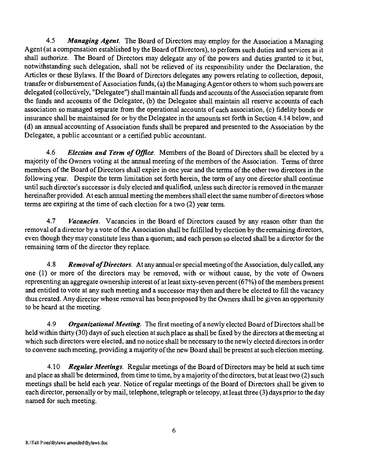4.5 Managing Agent. The Board of Directors may employ for the Association a Managing Agent (at a compensation established by the Board of Directors), to perform such duties and services as it shall authorize. The Board of Directors may delegate any of the powers and duties granted to it but, notwithstanding such delegation, shall not be relieved of its responsibility under the Declaration, the Articles or these Bylaws. If the Board of Directors delegates any powers relating to collection, deposit, transfer or disbursement of Association funds, (a) the Managing Agent or others to whom such powers arc delegated (collectively, "Delegatee") shall maintain all funds and accounts of the Association separate from the funds and accounts of the Delegatee, (b) the Delegatee shall maintain all reserve accounts of each association so managed separate from the operational accounts of each association, (c) fidelity bonds or insurance shall be maintained for or by the Delegatee in the amounts set forth in Section 4.14 below, and (d) an annual accounting of Association funds shall be prepared and presented to the Association by the Delegatee, a public accountant or a certified public accountant.

4.6 Election and Term of Office. Members of the Board of Directors shall be elected by a majority of the Owners voting at the annual meeting of the members of the Association. Terms of three members of the Board of Directors shall expire in one year and the terms of the other two directors in the following year. Despite the term limitation set forth herein, the term of any one director shall continue until such director's successor is duly elected and qualified, unless such director is removed in the manner hereinafter provided. At each annual meeting the members shall elect the same number of directors whose terms are expiring at the time of each election for a two (2) year term.

4.7 Vacancies. Vacancies in the Board of Directors caused by any reason other than the removal of a director by a vote of the Association shall be fulfilled by election by the remaining directors, even though they may constitute less than a quorum; and each person so elected shall be a director for the remaining term of the director they replace.

4.8 Removal of Directors. At any annual or special meeting of the Association, duly called, any one (1) or more of the directors may be removed, with or without cause, by the vote of Owners representing an aggregate ownership interest of at least sixty-seven percent (67%) of the members present and entitled to vote at any such meeting and a successor may then and there be elected to fill the vacancy thus created, Any director whose removal has been proposed by the Owners shall be given an opportunity to be heard at the meeting.

4.9 Organizational Meeting. The first meeting of a newly elected Board of Directors shall be held within thirty (30) days of such election at such place as shall be fixed by the directors at the meeting at which such directors were elected, and no notice shall be necessary to the newly elected directors in order to convene such meeting, providing a majority of the new Board shall be present at such election meeting.

4.10 Regular Meetings. Regular meetings of the Board of Directors may be held at such time and place as shall be determined, from time to time, by a majority of the directors, but at least two (2) such meetings shall be held each year. Notice of regular meetings of the Board of Directors shall be given to each director, personally or by mail, telephone, telegraph or telecopy, at least three (3) days prior to the day named for such meeting.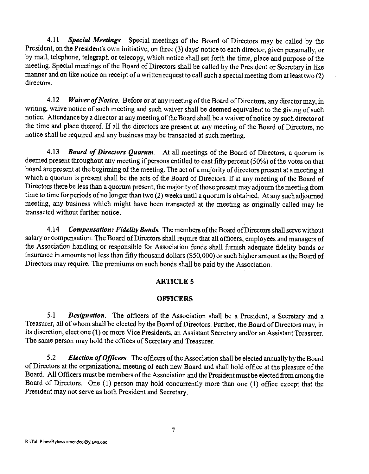4.11 Special Meetings. Special meetings of the Board of Directors may be called by the President, on the President's own initiative, on three (3) days' notice to each director, given personally, or by mail, telephone, telegraph or telecopy, which notice shall set forth the time, place and purpose of the meeting. Special meetings of the Board of Directors shall be called by the President or Secretary in like manner and on like notice on receipt of a written request to call such a special meeting from at least two (2) directors.

4.12 Waiver of Notice. Before or at any meeting of the Board of Directors, any director may, in writing, waive notice of such meeting and such waiver shall be deemed equivalent to the giving of such notice. Attendance by a director at any meeting of the Board shall be a waiver of notice by such director of the time and place thereof. If all the directors are present at any meeting of the Board of Directors, no notice shall be required and any business may be transacted at such meeting.

4.13 **Board of Directors Quorum.** At all meetings of the Board of Directors, a quorum is deemed present throughout any meeting if persons entitled to cast fifty percent (50%) of the votes on that board are present at the beginning of the meeting. The act of a majority of directors present at a meeting at which a quorum is present shall be the acts of the Board of Directors. If at any meeting of the Board of Directors there be less than a quorum present, the majority of those presentmay adjourn the meeting from time to time for periods of no longer than two (2) weeks until a quorum is obtained. At any such adjourned meeting, any business which might have been transacted at the meeting as originally called may be transacted without further notice.

4.14 Compensation: Fidelity Bonds. The members of the Board of Directors shall serve without salary or compensation. The Board of Directors shall require that all officers, employees and managers of the Association handling or responsible for Association funds shall furnish adequate fidelity bonds or insurance in amounts not less than fifty thousand dollars (\$50,000) or such higher amount as the Board of Directors may require. The premiums on such bonds shall be paid by the Association.

## ARTICLE 5

#### **OFFICERS**

5.1 Designation. The officers of the Association shall be a President, a Secretary and a Treasurer, all of whom shall be elected by the Board of Directors. Further, the Board of Directors may, in its discretion, elect one (1) or more Vice Presidents, an Assistant Secretary and/oran Assistant Treasurer. The same person may hold the offices of Secretary and Treasurer.

5.2 Election of Officers. The officers of the Association shall be elected annually by the Board of Directors at the organizational meeting of each new Board and shall hold office at the pleasure of the Board. All Officers must be members of the Association and the President must be elected fromamong the Board of Directors. One (1) person may hold concurrently more than one (1) office except that the President may not serve as both President and Secretary.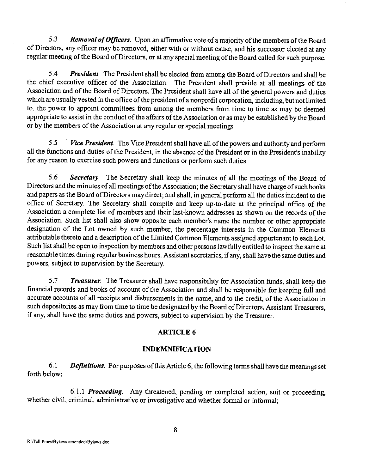5.3 Removal of Officers. Upon an affirmative vote of a majority of the members of the Board of Directors, any officer may be removed, either with or without cause, and his successor elected at any regular meeting of the Board of Directors, or at any special meeting of the Board called for such purpose.

5.4 President. The President shall be elected from among the Board of Directors and shall be the chief executive officer of the Association. The President shall preside at all meetings of the Association and of the Board of Directors. The President shall have all of the general powers and duties which are usually vested in the office of the president of a nonprofit corporation, including, but not limited to, the power to appoint committees from among the members from time to time as may be deemed appropriate to assist in the conduct of the affairs of the Association or as may be established by the Board or by the members of the Association at any regular or special meetings.

5.5 *Vice President*. The Vice President shall have all of the powers and authority and perform all the functions and duties of the President, in the absence of the President or in the President's inability for any reason to exercise such powers and functions or perform such duties.

5.6 Secretary. The Secretary shall keep the minutes of all the meetings of the Board of Directors and the minutes of all meetings of the Association; the Secretary shall have charge of such books and papers as the Board of Directors may direct; and shall, in general perform all the duties incident to the office of Secretary. The Secretary shall compile and keep up-to-date at the principal office of the Association a complete list of members and their last-known addresses as shown on the records of the Association. Such list shall also show opposite each member's name the number or other appropriate designation of the Lot owned by such member, the percentage interests in the Common Elements attributable thereto and a description of the Limited Common Elements assigned appurtenant to each Lot. Such list shall be open to inspection by members and other persons lawfully entitled to inspect the same at reasonable times during regular business hours. Assistant secretaries, if any, shall have the same duties and powers, subject to supervision by the Secretary.

5.7 **Treasurer**. The Treasurer shall have responsibility for Association funds, shall keep the financial records and books of account of the Association and shall be responsible for keeping full and accurate accounts of all receipts and disbursements in the name, and to the credit, of the Association in such depositories as may from time to time be designated by the Board of Directors. Assistant Treasurers, if any, shall have the same duties and powers, subject to supervision by the Treasurer.

## ARTICLE 6

## INDEMNIFICATION

6.1 Definitions. For purposes of this Article 6, the following terms shall have the meanings set forth below:

6.1.1 Proceeding. Any threatened, pending or completed action, suit or proceeding, whether civil, criminal, administrative or investigative and whether formal or informal;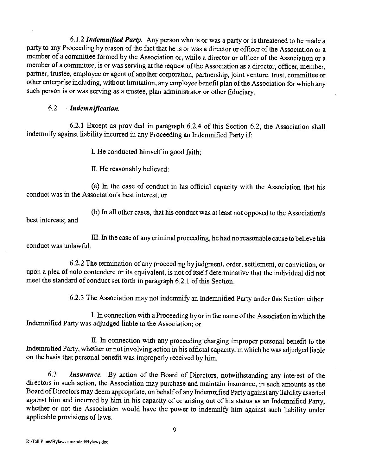6.1.2 Indemnified Party. Any person who is or was a party or is threatened to be made a party to any Proceeding by reason of the fact that he is or was a director or officer of the Association or a member of a committee formed by the Association or, while a director or officer of the Association or a member of a committee, is or was serving at the request of the Association as a director, officer, member, partner, trustee, employee or agent of another corporation, partnership, joint venture, trust, committee or other enterprise including, without limitation, any employee benefit plan of the Association for which any such person is or was serving as a trustee, plan administrator or other fiduciary.

# 6.2 Indemnjfication.

6.2.1 Except as provided in paragraph 6.2.4 of this Section 6.2, the Association shall indemnify against liability incurred in any Proceeding an Indemnified Party if:

I. He conducted himself in good faith;

II. He reasonably believed:

(a) In the case of conduct in his official capacity with the Association that his conduct was in the Association's best interest; or

(b) In all other cases, that his conduct was at least not opposed to the Association's best interests; and

III. In the case of any criminal proceeding, he had no reasonable cause to believe his conduct was unlawful.

6.2.2 The termination of any proceeding by judgment, order, settlement, or conviction, or upon a plea of nob contendere or its equivalent, is not of itself determinative that the individual did not meet the standard of conduct set forth in paragraph 6.2.1 of this Section.

6.2.3 The Association may not indemnify an Indemnified Party under this Section either:

I. In connection with a Proceeding by or in the name of the Association in which the Indemnified Party was adjudged liable to the Association; or

II. In connection with any proceeding charging improper personal benefit to the Indemnified Party, whether or not involving action in his official capacity, in which he was adjudged liable on the basis that personal benefit was improperly received by him.

6.3 Insurance. By action of the Board of Directors, notwithstanding any interest of the directors in such action, the Association may purchase and maintain insurance, in such amounts as the Board of Directors may deem appropriate, on behalf of any Indemnified Party against any liability asserted against him and incurred by him in his capacity of or arising out of his status as an Indemnified Party, whether or not the Association would have the power to indemnify him against such liability under applicable provisions of laws.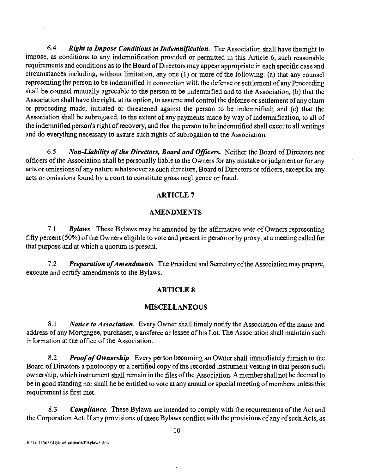$6.4$  Right to Impose Conditions to Indemnification. The Association shall have the right to impose, as conditions to any indemnification provided or permitted in this Article 6, such reasonable requirements and conditions as to the Board of Directors may appear appropriate in each specific case and circumstances including, without limitation, any one (1) or more of the following: (a) that any counsel representing the person to be indemnified in connection with the defense or settlement of any Proceeding shall be counsel mutually agreeable to the person to be indemnified and to the Association; (b) that the Association shall have the right, at its option, to assume and control the defense or settlement of any claim or proceeding made, initiated or threatened against the person to be indemnified; and (c) that the Association shall be subrogated, to the extent of any payments made by way of indemnification, to all of the indemnified person's right of recovery, and that the person to be indemnified shall execute all writings and do everything necessary to assure such rights of subrogation to the Association.

6.5 Non-Liability of the Directors, Board and Officers. Neither the Board of Directors nor officers of the Association shall be personally liable to the Owners for any mistake or judgment or for any acts or omissions of any nature whatsoever as such directors, Board of Directors or officers, except for any acts or omissions found by a court to constitute gross negligence or fraud.

### ARTICLE 7

### AMENDMENTS

7.1 Bylaws. These Bylaws may be amended by the affirmative vote of Owners representing fifty percent (50%) of the Owners eligible to vote and present in person or by proxy, at a meeting called for that purpose and at which a quorum is present.

7.2 Preparation of Amendments. The President and Secretary of the Association may prepare, execute and certify amendments to the Bylaws.

### ARTICLE 8

#### **MISCELLANEOUS**

8.1 Notice to Association. Every Owner shall timely notify the Association of the name and address of any Mortgagee, purchaser, transferee or lessee of his Lot. The Association shall maintain such information at the office of the Association.

8.2 Proof of Ownership. Every person becoming an Owner shall immediately furnish to the Board of Directors a photocopy or a certified copy of the recorded instrument vesting in that person such ownership, which instrument shall remain in the files of the Association. A member shall not be deemed to be in good standing nor shall he be entitled to vote at any annual or special meeting of members unless this requirement is first met.

8.3 Compliance. These Bylaws are intended to comply with the requirements of the Act and the Corporation Act. If any provisions of these Bylaws conflict with the provisions of any of such Acts, as